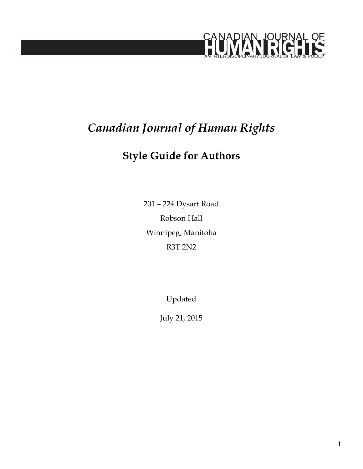

# *Canadian Journal of Human Rights*

## **Style Guide for Authors**

201 – 224 Dysart Road Robson Hall Winnipeg, Manitoba R3T 2N2

Updated

July 21, 2015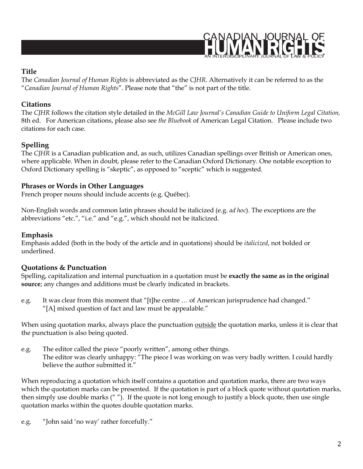

## **Title**

The *Canadian Journal of Human Rights* is abbreviated as the *CJHR*. Alternatively it can be referred to as the "*Canadian Journal of Human Rights*". Please note that "the" is not part of the title.

## **Citations**

The *CJHR* follows the citation style detailed in the *McGill Law Journal's Canadian Guide to Uniform Legal Citation,* 8th ed. For American citations, please also see *the Bluebook* of American Legal Citation. Please include two citations for each case.

## **Spelling**

The *CJHR* is a Canadian publication and, as such, utilizes Canadian spellings over British or American ones, where applicable. When in doubt, please refer to the Canadian Oxford Dictionary. One notable exception to Oxford Dictionary spelling is "skeptic", as opposed to "sceptic" which is suggested.

## **Phrases or Words in Other Languages**

French proper nouns should include accents (e.g. Québec).

Non-English words and common latin phrases should be italicized (e.g. *ad hoc*). The exceptions are the abbreviations "etc.", "i.e." and "e.g.", which should not be italicized.

#### **Emphasis**

Emphasis added (both in the body of the article and in quotations) should be *italicized*, not bolded or underlined.

## **Quotations & Punctuation**

Spelling, capitalization and internal punctuation in a quotation must be **exactly the same as in the original source**; any changes and additions must be clearly indicated in brackets.

e.g. It was clear from this moment that "[t]he centre … of American jurisprudence had changed." "[A] mixed question of fact and law must be appealable."

When using quotation marks, always place the punctuation outside the quotation marks, unless it is clear that the punctuation is also being quoted.

e.g. The editor called the piece "poorly written", among other things. The editor was clearly unhappy: "The piece I was working on was very badly written. I could hardly believe the author submitted it."

When reproducing a quotation which itself contains a quotation and quotation marks, there are two ways which the quotation marks can be presented. If the quotation is part of a block quote without quotation marks, then simply use double marks (" "). If the quote is not long enough to justify a block quote, then use single quotation marks within the quotes double quotation marks.

e.g. "John said 'no way' rather forcefully."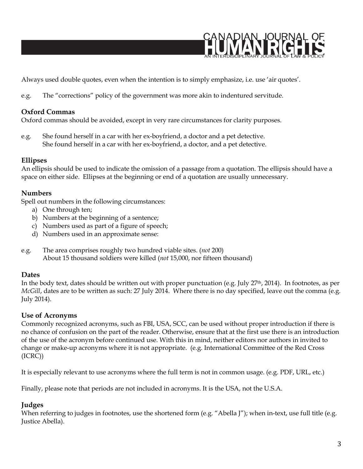

Always used double quotes, even when the intention is to simply emphasize, i.e. use 'air quotes'.

e.g. The "corrections" policy of the government was more akin to indentured servitude.

#### **Oxford Commas**

Oxford commas should be avoided, except in very rare circumstances for clarity purposes.

e.g. She found herself in a car with her ex-boyfriend, a doctor and a pet detective. She found herself in a car with her ex-boyfriend, a doctor, and a pet detective.

#### **Ellipses**

An ellipsis should be used to indicate the omission of a passage from a quotation. The ellipsis should have a space on either side. Ellipses at the beginning or end of a quotation are usually unnecessary.

#### **Numbers**

Spell out numbers in the following circumstances:

- a) One through ten;
- b) Numbers at the beginning of a sentence;
- c) Numbers used as part of a figure of speech;
- d) Numbers used in an approximate sense:
- e.g. The area comprises roughly two hundred viable sites. (*not* 200) About 15 thousand soldiers were killed (*not* 15,000, nor fifteen thousand)

#### **Dates**

In the body text, dates should be written out with proper punctuation (e.g. July 27th, 2014). In footnotes, as per *McGill*, dates are to be written as such: 27 July 2014. Where there is no day specified, leave out the comma (e.g. July 2014).

#### **Use of Acronyms**

Commonly recognized acronyms, such as FBI, USA, SCC, can be used without proper introduction if there is no chance of confusion on the part of the reader. Otherwise, ensure that at the first use there is an introduction of the use of the acronym before continued use. With this in mind, neither editors nor authors in invited to change or make-up acronyms where it is not appropriate. (e.g. International Committee of the Red Cross (ICRC))

It is especially relevant to use acronyms where the full term is not in common usage. (e.g. PDF, URL, etc.)

Finally, please note that periods are not included in acronyms. It is the USA, not the U.S.A.

#### **Judges**

When referring to judges in footnotes, use the shortened form (e.g. "Abella J"); when in-text, use full title (e.g. Justice Abella).